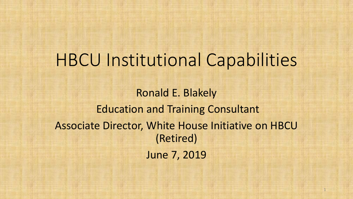Ronald E. Blakely Education and Training Consultant Associate Director, White House Initiative on HBCU (Retired) June 7, 2019

1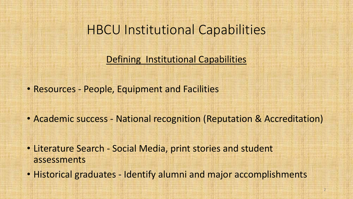Defining Institutional Capabilities

• Resources - People, Equipment and Facilities

- Academic success National recognition (Reputation & Accreditation)
- Literature Search Social Media, print stories and student assessments
- Historical graduates Identify alumni and major accomplishments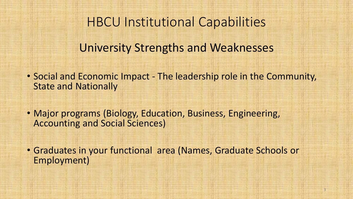University Strengths and Weaknesses

- Social and Economic Impact The leadership role in the Community, State and Nationally
- Major programs (Biology, Education, Business, Engineering, Accounting and Social Sciences)
- Graduates in your functional area (Names, Graduate Schools or Employment)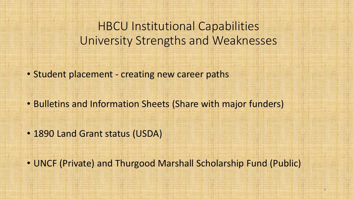### HBCU Institutional Capabilities University Strengths and Weaknesses

• Student placement - creating new career paths

- Bulletins and Information Sheets (Share with major funders)
- 1890 Land Grant status (USDA)

• UNCF (Private) and Thurgood Marshall Scholarship Fund (Public)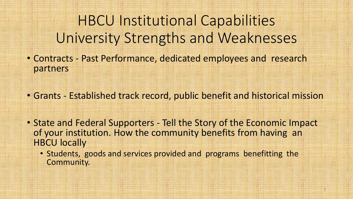HBCU Institutional Capabilities University Strengths and Weaknesses

• Contracts - Past Performance, dedicated employees and research partners

• Grants - Established track record, public benefit and historical mission

• State and Federal Supporters - Tell the Story of the Economic Impact of your institution. How the community benefits from having an HBCU locally

• Students, goods and services provided and programs benefitting the Community.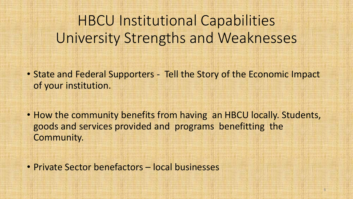# HBCU Institutional Capabilities University Strengths and Weaknesses

- State and Federal Supporters Tell the Story of the Economic Impact of your institution.
- How the community benefits from having an HBCU locally. Students, goods and services provided and programs benefitting the Community.
- Private Sector benefactors local businesses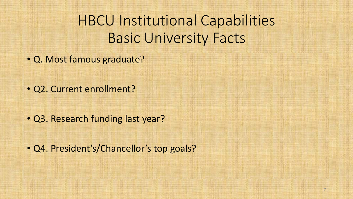HBCU Institutional Capabilities Basic University Facts

• Q. Most famous graduate?

• Q2. Current enrollment?

• Q3. Research funding last year?

• Q4. President's/Chancellor's top goals?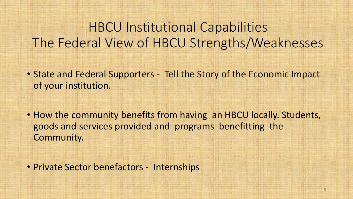- State and Federal Supporters Tell the Story of the Economic Impact of your institution.
- How the community benefits from having an HBCU locally. Students, goods and services provided and programs benefitting the Community.

• Private Sector benefactors - Internships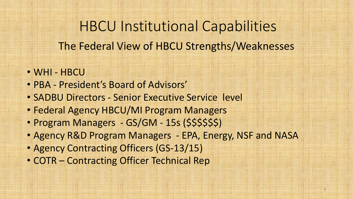The Federal View of HBCU Strengths/Weaknesses

HBCU Institutional Capabilities

- WHI HBCU
- PBA President's Board of Advisors'
- SADBU Directors Senior Executive Service level
- Federal Agency HBCU/MI Program Managers
- Program Managers GS/GM 15s (\$\$\$\$\$\$)
- Agency R&D Program Managers EPA, Energy, NSF and NASA
- Agency Contracting Officers (GS-13/15)
- COTR Contracting Officer Technical Rep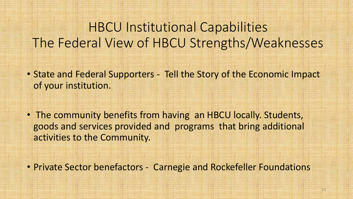- State and Federal Supporters Tell the Story of the Economic Impact of your institution.
- The community benefits from having an HBCU locally. Students, goods and services provided and programs that bring additional activities to the Community.
- Private Sector benefactors Carnegie and Rockefeller Foundations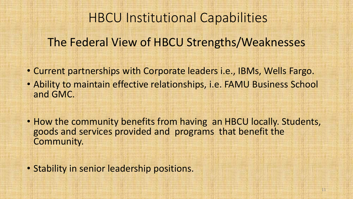The Federal View of HBCU Strengths/Weaknesses

- Current partnerships with Corporate leaders i.e., IBMs, Wells Fargo.
- Ability to maintain effective relationships, i.e. FAMU Business School and GMC.
- How the community benefits from having an HBCU locally. Students, goods and services provided and programs that benefit the Community.

• Stability in senior leadership positions.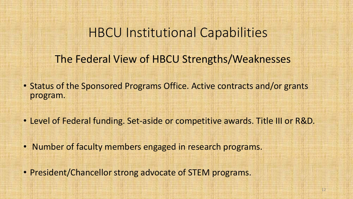The Federal View of HBCU Strengths/Weaknesses

- Status of the Sponsored Programs Office. Active contracts and/or grants program.
- Level of Federal funding. Set-aside or competitive awards. Title III or R&D.
- Number of faculty members engaged in research programs.
- President/Chancellor strong advocate of STEM programs.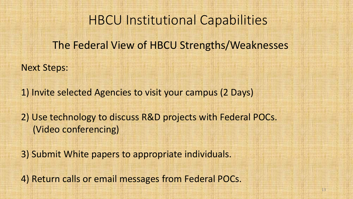The Federal View of HBCU Strengths/Weaknesses

Next Steps:

1) Invite selected Agencies to visit your campus (2 Days)

2) Use technology to discuss R&D projects with Federal POCs. (Video conferencing)

3) Submit White papers to appropriate individuals.

4) Return calls or email messages from Federal POCs.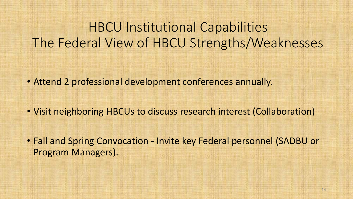• Attend 2 professional development conferences annually.

• Visit neighboring HBCUs to discuss research interest (Collaboration)

• Fall and Spring Convocation - Invite key Federal personnel (SADBU or Program Managers).